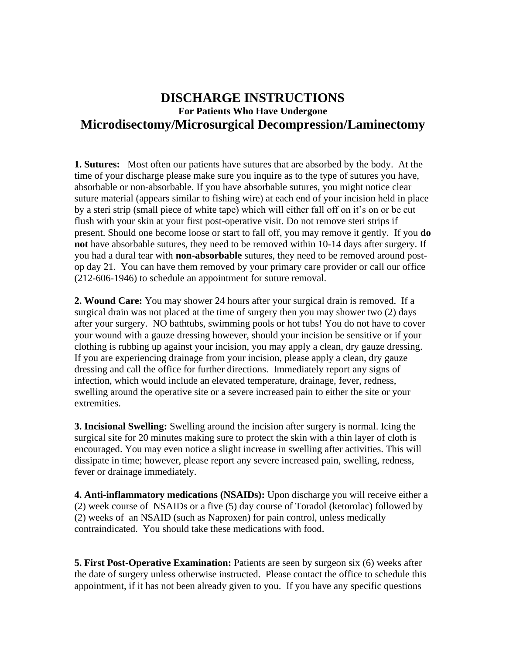## **DISCHARGE INSTRUCTIONS For Patients Who Have Undergone Microdisectomy/Microsurgical Decompression/Laminectomy**

**1. Sutures:** Most often our patients have sutures that are absorbed by the body. At the time of your discharge please make sure you inquire as to the type of sutures you have, absorbable or non-absorbable. If you have absorbable sutures, you might notice clear suture material (appears similar to fishing wire) at each end of your incision held in place by a steri strip (small piece of white tape) which will either fall off on it's on or be cut flush with your skin at your first post-operative visit. Do not remove steri strips if present. Should one become loose or start to fall off, you may remove it gently.If you **do not** have absorbable sutures, they need to be removed within 10-14 days after surgery. If you had a dural tear with **non-absorbable** sutures, they need to be removed around postop day 21. You can have them removed by your primary care provider or call our office (212-606-1946) to schedule an appointment for suture removal.

**2. Wound Care:** You may shower 24 hours after your surgical drain is removed. If a surgical drain was not placed at the time of surgery then you may shower two (2) days after your surgery. NO bathtubs, swimming pools or hot tubs! You do not have to cover your wound with a gauze dressing however, should your incision be sensitive or if your clothing is rubbing up against your incision, you may apply a clean, dry gauze dressing. If you are experiencing drainage from your incision, please apply a clean, dry gauze dressing and call the office for further directions. Immediately report any signs of infection, which would include an elevated temperature, drainage, fever, redness, swelling around the operative site or a severe increased pain to either the site or your extremities.

**3. Incisional Swelling:** Swelling around the incision after surgery is normal. Icing the surgical site for 20 minutes making sure to protect the skin with a thin layer of cloth is encouraged. You may even notice a slight increase in swelling after activities. This will dissipate in time; however, please report any severe increased pain, swelling, redness, fever or drainage immediately.

**4. Anti-inflammatory medications (NSAIDs):** Upon discharge you will receive either a (2) week course of NSAIDs or a five (5) day course of Toradol (ketorolac) followed by (2) weeks of an NSAID (such as Naproxen) for pain control, unless medically contraindicated. You should take these medications with food.

**5. First Post-Operative Examination:** Patients are seen by surgeon six (6) weeks after the date of surgery unless otherwise instructed. Please contact the office to schedule this appointment, if it has not been already given to you. If you have any specific questions